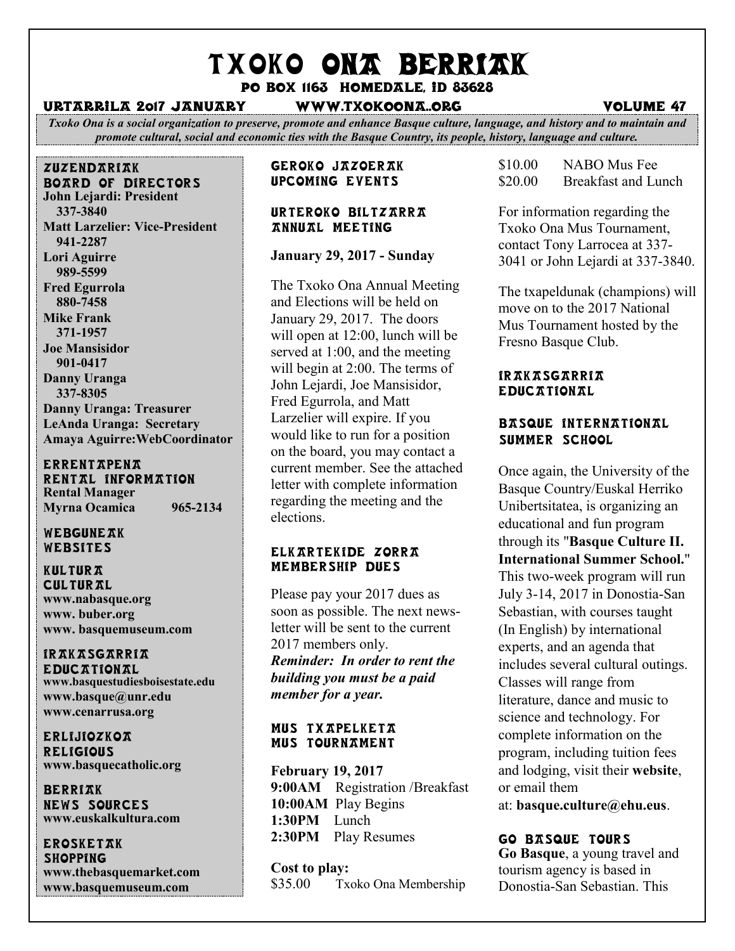# TXOKO ONA BERRIAK

Po box 1163 homedale, id 83628

#### urtarrila 2017 january www.txokoona..org volume 47

*Txoko Ona is a social organization to preserve, promote and enhance Basque culture, language, and history and to maintain and promote cultural, social and economic ties with the Basque Country, its people, history, language and culture.*

### zuzendariak board of directors **John Lejardi: President 337-3840 Matt Larzelier: Vice-President 941-2287 Lori Aguirre**

 **989-5599 Fred Egurrola 880-7458 Mike Frank 371-1957 Joe Mansisidor 901-0417 Danny Uranga 337-8305 Danny Uranga: Treasurer LeAnda Uranga: Secretary Amaya Aguirre:WebCoordinator**

#### **ERRENTAPENA** RENTAL INFORMATION

**Rental Manager Myrna Ocamica 965-2134**

#### WEBGUNEAK Websites

KULTUR**T CULTURAL www.nabasque.org www. buber.org www. basquemuseum.com** 

# irakasgarria

**EDUCATIONAL www.basquestudiesboisestate.edu www.basque@unr.edu www.cenarrusa.org**

erlijiozkoa **RELIGIOUS www.basquecatholic.org**

**BERRIAK** news sources **www.euskalkultura.com**

**EROSKETAK SHOPPING www.thebasquemarket.com www.basquemuseum.com**

# Geroko Jazoerak Upcoming events

#### Urteroko Biltzarra annual meeting

# **January 29, 2017 - Sunday**

The Txoko Ona Annual Meeting and Elections will be held on January 29, 2017. The doors will open at 12:00, lunch will be served at 1:00, and the meeting will begin at 2:00. The terms of John Lejardi, Joe Mansisidor, Fred Egurrola, and Matt Larzelier will expire. If you would like to run for a position on the board, you may contact a current member. See the attached letter with complete information regarding the meeting and the elections.

#### ELKARTEKIDE ZORRA Membership Dues

Please pay your 2017 dues as soon as possible. The next newsletter will be sent to the current 2017 members only. *Reminder: In order to rent the building you must be a paid member for a year.*

#### Mus txapelketa MUS TOURNAMENT

**February 19, 2017 9:00AM** Registration /Breakfast **10:00AM** Play Begins **1:30PM** Lunch **2:30PM** Play Resumes

**Cost to play:** \$35.00 Txoko Ona Membership \$10.00 NABO Mus Fee \$20.00 Breakfast and Lunch

For information regarding the Txoko Ona Mus Tournament, contact Tony Larrocea at 337- 3041 or John Lejardi at 337-3840.

The txapeldunak (champions) will move on to the 2017 National Mus Tournament hosted by the Fresno Basque Club.

# *IRAKASGARRIA* **EDUCATIONAL**

# BASQUE INTERNATIONAL Summer School

Once again, the University of the Basque Country/Euskal Herriko Unibertsitatea, is organizing an educational and fun program through its "**Basque [Culture](http://www.nabasque.org/fliers/Basque_Yourself_eng_BAJA.pdf) II. [International](http://www.nabasque.org/fliers/Basque_Yourself_eng_BAJA.pdf) Summer School.**" This two-week program will run July 3-14, 2017 in Donostia-San Sebastian, with courses taught (In English) by international experts, and an agenda that includes several cultural outings. Classes will range from literature, dance and music to science and technology. For complete information on the program, including tuition fees and lodging, visit their **[website](http://www.ehu.eus/en/web/basque-culture/home)**, or email them

at: **[basque.culture@ehu.eus](mailto:basque.culture@ehu.eus)**.

# Go Basque Tours

**Go [Basque](http://gobasque.com/)**, a young travel and tourism agency is based in Donostia-San Sebastian. This